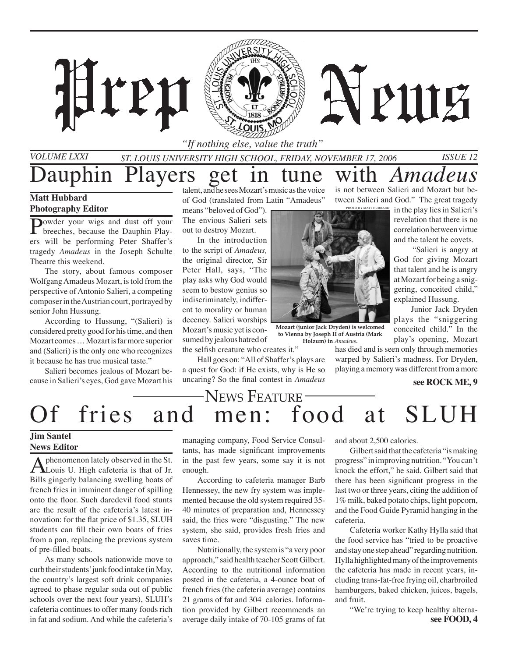

*St. Louis University High School, Friday, NOvember 17, 2006 Issue 12*

auphin Players get in tune with *Amadeus* 

## **Matt Hubbard Photography Editor**

Powder your wigs and dust off your breeches, because the Dauphin Players will be performing Peter Shaffer's tragedy *Amadeus* in the Joseph Schulte Theatre this weekend.

The story, about famous composer Wolfgang Amadeus Mozart, is told from the perspective of Antonio Salieri, a competing composer in the Austrian court, portrayed by senior John Hussung.

According to Hussung, "(Salieri) is considered pretty good for his time, and then Mozart comes … Mozart is far more superior and (Salieri) is the only one who recognizes it because he has true musical taste."

Salieri becomes jealous of Mozart because in Salieri's eyes, God gave Mozart his

talent, and he sees Mozart's music as the voice of God (translated from Latin "Amadeus"

means "beloved of God"). The envious Salieri sets out to destroy Mozart.

In the introduction to the script of *Amadeus,* the original director, Sir Peter Hall, says, "The play asks why God would seem to bestow genius so indiscriminately, indifferent to morality or human decency. Salieri worships Mozart's music yet is consumed by jealous hatred of the selfish creature who creates it."

Hall goes on: "All of Shaffer's plays are a quest for God: if He exists, why is He so uncaring? So the final contest in *Amadeus*



**Mozart (junior Jack Dryden) is welcomed to Vienna by Joseph II of Austria (Mark Holzum) in** *Amadeus***.**

> has died and is seen only through memories warped by Salieri's madness. For Dryden, playing a memory was different from a more

is not between Salieri and Mozart but between Salieri and God." The great tragedy

> revelation that there is no correlation between virtue and the talent he covets. "Salieri is angry at God for giving Mozart that talent and he is angry at Mozart for being a sniggering, conceited child," explained Hussung.

> > **see ROCK ME, 9**

 Junior Jack Dryden plays the "sniggering conceited child." In the play's opening, Mozart

## News Feature ——<br>men: food Of fries and men: food at SLUH

## **Jim Santel News Editor**

A phenomenon lately observed in the St.<br>Louis U. High cafeteria is that of Jr. Bills gingerly balancing swelling boats of french fries in imminent danger of spilling onto the floor. Such daredevil food stunts are the result of the cafeteria's latest innovation: for the flat price of \$1.35, SLUH students can fill their own boats of fries from a pan, replacing the previous system of pre-filled boats.

As many schools nationwide move to curb their students' junk food intake (in May, the country's largest soft drink companies agreed to phase regular soda out of public schools over the next four years), SLUH's cafeteria continues to offer many foods rich in fat and sodium. And while the cafeteria's

managing company, Food Service Consultants, has made significant improvements in the past few years, some say it is not enough.

According to cafeteria manager Barb Hennessey, the new fry system was implemented because the old system required 35- 40 minutes of preparation and, Hennessey said, the fries were "disgusting." The new system, she said, provides fresh fries and saves time.

Nutritionally, the system is "a very poor approach," said health teacher Scott Gilbert. According to the nutritional information posted in the cafeteria, a 4-ounce boat of french fries (the cafeteria average) contains 21 grams of fat and 304 calories. Information provided by Gilbert recommends an average daily intake of 70-105 grams of fat and about 2,500 calories.

Gilbert said that the cafeteria "is making progress" in improving nutrition. "You can't knock the effort," he said. Gilbert said that there has been significant progress in the last two or three years, citing the addition of 1% milk, baked potato chips, light popcorn, and the Food Guide Pyramid hanging in the cafeteria.

Cafeteria worker Kathy Hylla said that the food service has "tried to be proactive and stay one step ahead" regarding nutrition. Hylla highlighted many of the improvements the cafeteria has made in recent years, including trans-fat-free frying oil, charbroiled hamburgers, baked chicken, juices, bagels, and fruit.

**see FOOD, 4** "We're trying to keep healthy alterna-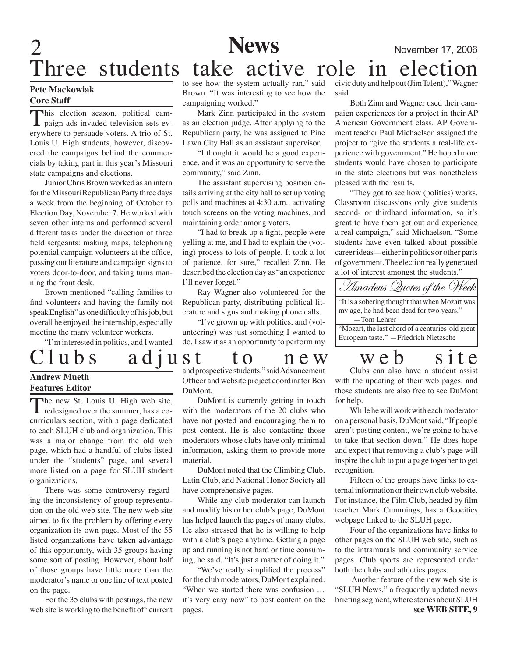

## hree students take active role in election

#### **Pete Mackowiak Core Staff**

This election season, political cam-<br>paign ads invaded television sets everywhere to persuade voters. A trio of St. Louis U. High students, however, discovered the campaigns behind the commercials by taking part in this year's Missouri state campaigns and elections.

Junior Chris Brown worked as an intern for the Missouri Republican Party three days a week from the beginning of October to Election Day, November 7. He worked with seven other interns and performed several different tasks under the direction of three field sergeants: making maps, telephoning potential campaign volunteers at the office, passing out literature and campaign signs to voters door-to-door, and taking turns manning the front desk.

Brown mentioned "calling families to find volunteers and having the family not speak English" as one difficulty of his job, but overall he enjoyed the internship, especially meeting the many volunteer workers.

"I'm interested in politics, and I wanted

### to see how the system actually ran," said Brown. "It was interesting to see how the campaigning worked."

Mark Zinn participated in the system as an election judge. After applying to the Republican party, he was assigned to Pine Lawn City Hall as an assistant supervisor.

"I thought it would be a good experience, and it was an opportunity to serve the community," said Zinn.

The assistant supervising position entails arriving at the city hall to set up voting polls and machines at 4:30 a.m., activating touch screens on the voting machines, and maintaining order among voters.

"I had to break up a fight, people were yelling at me, and I had to explain the (voting) process to lots of people. It took a lot of patience, for sure," recalled Zinn. He described the election day as "an experience I'll never forget."

 Ray Wagner also volunteered for the Republican party, distributing political literature and signs and making phone calls.

"I've grown up with politics, and (volunteering) was just something I wanted to do. I saw it as an opportunity to perform my

## Clubs adjust to new web site

### **Andrew Mueth Features Editor**

The new St. Louis U. High web site, **L** redesigned over the summer, has a cocurriculars section, with a page dedicated to each SLUH club and organization. This was a major change from the old web page, which had a handful of clubs listed under the "students" page, and several more listed on a page for SLUH student organizations.

There was some controversy regarding the inconsistency of group representation on the old web site. The new web site aimed to fix the problem by offering every organization its own page. Most of the 55 listed organizations have taken advantage of this opportunity, with 35 groups having some sort of posting. However, about half of those groups have little more than the moderator's name or one line of text posted on the page.

For the 35 clubs with postings, the new web site is working to the benefit of "current and prospective students," said Advancement Officer and website project coordinator Ben DuMont.

DuMont is currently getting in touch with the moderators of the 20 clubs who have not posted and encouraging them to post content. He is also contacting those moderators whose clubs have only minimal information, asking them to provide more material.

DuMont noted that the Climbing Club, Latin Club, and National Honor Society all have comprehensive pages.

While any club moderator can launch and modify his or her club's page, DuMont has helped launch the pages of many clubs. He also stressed that he is willing to help with a club's page anytime. Getting a page up and running is not hard or time consuming, he said. "It's just a matter of doing it."

"We've really simplified the process" for the club moderators, DuMont explained. "When we started there was confusion … it's very easy now" to post content on the pages.

civic duty and help out (Jim Talent)," Wagner said.

Both Zinn and Wagner used their campaign experiences for a project in their AP American Government class. AP Government teacher Paul Michaelson assigned the project to "give the students a real-life experience with government." He hoped more students would have chosen to participate in the state elections but was nonetheless pleased with the results.

"They got to see how (politics) works. Classroom discussions only give students second- or thirdhand information, so it's great to have them get out and experience a real campaign," said Michaelson. "Some students have even talked about possible career ideas—either in politics or other parts of government. The election really generated a lot of interest amongst the students."



# Clubs can also have a student assist

with the updating of their web pages, and those students are also free to see DuMont for help.

While he will work with each moderator on a personal basis, DuMont said, "If people aren't posting content, we're going to have to take that section down." He does hope and expect that removing a club's page will inspire the club to put a page together to get recognition.

Fifteen of the groups have links to external information or their own club website. For instance, the Film Club, headed by film teacher Mark Cummings, has a Geocities webpage linked to the SLUH page.

Four of the organizations have links to other pages on the SLUH web site, such as to the intramurals and community service pages. Club sports are represented under both the clubs and athletics pages.

**see WEB SITE, 9** Another feature of the new web site is "SLUH News," a frequently updated news briefing segment, where stories about SLUH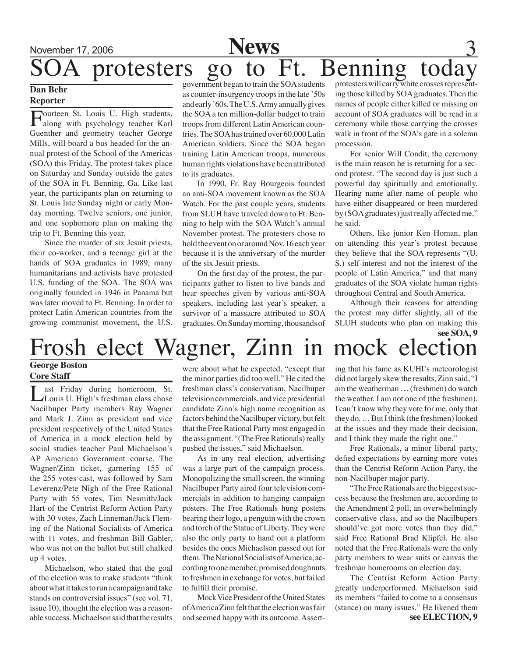## November 17, 2006 **News** protesters go to Ft. Benning today

### **Dan Behr Reporter**

Fourteen St. Louis U. High students,<br>along with psychology teacher Karl Guenther and geometry teacher George Mills, will board a bus headed for the annual protest of the School of the Americas (SOA) this Friday. The protest takes place on Saturday and Sunday outside the gates of the SOA in Ft. Benning, Ga. Like last year, the participants plan on returning to St. Louis late Sunday night or early Monday morning. Twelve seniors, one junior, and one sophomore plan on making the trip to Ft. Benning this year.

Since the murder of six Jesuit priests, their co-worker, and a teenage girl at the hands of SOA graduates in 1989, many humanitarians and activists have protested U.S. funding of the SOA. The SOA was originally founded in 1946 in Panama but was later moved to Ft. Benning. In order to protect Latin American countries from the growing communist movement, the U.S.

government began to train the SOA students as counter-insurgency troops in the late '50s and early '60s. The U.S. Army annually gives the SOA a ten million-dollar budget to train troops from different Latin American countries. The SOA has trained over 60,000 Latin American soldiers. Since the SOA began training Latin American troops, numerous human rights violations have been attributed to its graduates.

In 1990, Fr. Roy Bourgeois founded an anti-SOA movement known as the SOA Watch. For the past couple years, students from SLUH have traveled down to Ft. Benning to help with the SOA Watch's annual November protest. The protesters chose to hold the event on or around Nov. 16 each year because it is the anniversary of the murder of the six Jesuit priests.

On the first day of the protest, the participants gather to listen to live bands and hear speeches given by various anti-SOA speakers, including last year's speaker, a survivor of a massacre attributed to SOA graduates. On Sunday morning, thousands of

protesters will carry white crosses representing those killed by SOA graduates. Then the names of people either killed or missing on account of SOA graduates will be read in a ceremony while those carrying the crosses walk in front of the SOA's gate in a solemn procession.

For senior Will Condit, the ceremony is the main reason he is returning for a second protest. "The second day is just such a powerful day spiritually and emotionally. Hearing name after name of people who have either disappeared or been murdered by (SOA graduates) just really affected me," he said.

Others, like junior Ken Homan, plan on attending this year's protest because they believe that the SOA represents "(U. S.) self-interest and not the interest of the people of Latin America," and that many graduates of the SOA violate human rights throughout Central and South America.

Although their reasons for attending the protest may differ slightly, all of the SLUH students who plan on making this **see SOA, 9**

## Frosh elect Wagner, Zinn in mock election

### **George Boston Core Staff**

ast Friday during homeroom, St. Louis U. High's freshman class chose Nacilbuper Party members Ray Wagner and Mark J. Zinn as president and vice president respectively of the United States of America in a mock election held by social studies teacher Paul Michaelson's AP American Government course. The Wagner/Zinn ticket, garnering 155 of the 255 votes cast, was followed by Sam Leverenz/Pete Nigh of the Free Rational Party with 55 votes, Tim Nesmith/Jack Hart of the Centrist Reform Action Party with 30 votes, Zach Linneman/Jack Fleming of the National Socialists of America with 11 votes, and freshman Bill Gabler, who was not on the ballot but still chalked up 4 votes.

Michaelson, who stated that the goal of the election was to make students "think about what it takes to run a campaign and take stands on controversial issues" (see vol. 71, issue 10), thought the election was a reasonable success. Michaelson said that the results

were about what he expected, "except that the minor parties did too well." He cited the freshman class's conservatism, Nacilbuper television commercials, and vice presidential candidate Zinn's high name recognition as factors behind the Nacilbuper victory, but felt that the Free Rational Party most engaged in the assignment. "(The Free Rationals) really pushed the issues," said Michaelson.

As in any real election, advertising was a large part of the campaign process. Monopolizing the small screen, the winning Nacilbuper Party aired four television commercials in addition to hanging campaign posters. The Free Rationals hung posters bearing their logo, a penguin with the crown and torch of the Statue of Liberty. They were also the only party to hand out a platform besides the ones Michaelson passed out for them. The National Socialists of America, according to one member, promised doughnuts to freshmen in exchange for votes, but failed to fulfill their promise.

Mock Vice President of the United States of America Zinn felt that the election was fair and seemed happy with its outcome. Asserting that his fame as KUHI's meteorologist did not largely skew the results, Zinn said, "I am the weatherman … (freshmen) do watch the weather. I am not one of (the freshmen). I can't know why they vote for me, only that they do. … But I think (the freshmen) looked at the issues and they made their decision, and I think they made the right one."

Free Rationals, a minor liberal party, defied expectations by earning more votes than the Centrist Reform Action Party, the non-Nacilbuper major party.

"The Free Rationals are the biggest success because the freshmen are, according to the Amendment 2 poll, an overwhelmingly conservative class, and so the Nacilbupers should've got more votes than they did," said Free Rational Brad Klipfel. He also noted that the Free Rationals were the only party members to wear suits or canvas the freshman homerooms on election day.

The Centrist Reform Action Party greatly underperformed. Michaelson said its members "failed to come to a consensus (stance) on many issues." He likened them **see ELECTION, 9**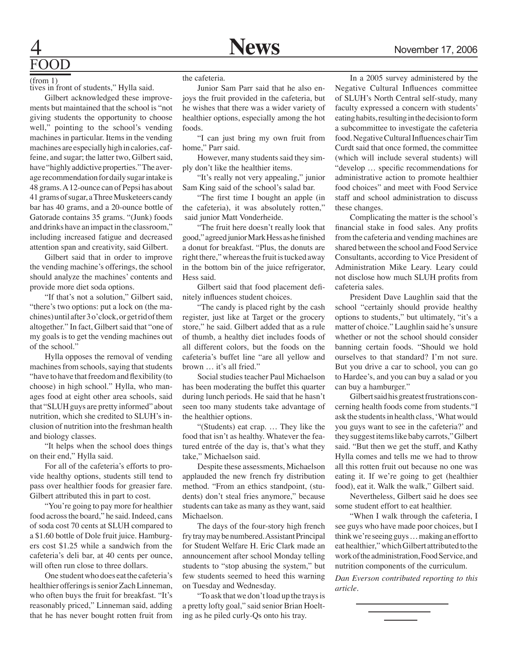# FOOD

(from 1)

tives in front of students," Hylla said.

Gilbert acknowledged these improvements but maintained that the school is "not giving students the opportunity to choose well," pointing to the school's vending machines in particular. Items in the vending machines are especially high in calories, caffeine, and sugar; the latter two, Gilbert said, have "highly addictive properties." The average recommendation for daily sugar intake is 48 grams. A 12-ounce can of Pepsi has about 41 grams of sugar, a Three Musketeers candy bar has 40 grams, and a 20-ounce bottle of Gatorade contains 35 grams. "(Junk) foods and drinks have an impact in the classroom," including increased fatigue and decreased attention span and creativity, said Gilbert.

Gilbert said that in order to improve the vending machine's offerings, the school should analyze the machines' contents and provide more diet soda options.

"If that's not a solution," Gilbert said, "there's two options: put a lock on (the machines) until after 3 o'clock, or get rid of them altogether." In fact, Gilbert said that "one of my goals is to get the vending machines out of the school."

Hylla opposes the removal of vending machines from schools, saying that students "have to have that freedom and flexibility (to choose) in high school." Hylla, who manages food at eight other area schools, said that "SLUH guys are pretty informed" about nutrition, which she credited to SLUH's inclusion of nutrition into the freshman health and biology classes.

"It helps when the school does things on their end," Hylla said.

For all of the cafeteria's efforts to provide healthy options, students still tend to pass over healthier foods for greasier fare. Gilbert attributed this in part to cost.

"You're going to pay more for healthier food across the board," he said. Indeed, cans of soda cost 70 cents at SLUH compared to a \$1.60 bottle of Dole fruit juice. Hamburgers cost \$1.25 while a sandwich from the cafeteria's deli bar, at 40 cents per ounce, will often run close to three dollars.

One student who does eat the cafeteria's healthier offerings is senior Zach Linneman, who often buys the fruit for breakfast. "It's reasonably priced," Linneman said, adding that he has never bought rotten fruit from

the cafeteria.

Junior Sam Parr said that he also enjoys the fruit provided in the cafeteria, but he wishes that there was a wider variety of healthier options, especially among the hot foods.

"I can just bring my own fruit from home," Parr said.

However, many students said they simply don't like the healthier items.

"It's really not very appealing," junior Sam King said of the school's salad bar.

"The first time I bought an apple (in the cafeteria), it was absolutely rotten," said junior Matt Vonderheide.

"The fruit here doesn't really look that good," agreed junior Mark Hess as he finished a donut for breakfast. "Plus, the donuts are right there," whereas the fruit is tucked away in the bottom bin of the juice refrigerator, Hess said.

Gilbert said that food placement definitely influences student choices.

"The candy is placed right by the cash register, just like at Target or the grocery store," he said. Gilbert added that as a rule of thumb, a healthy diet includes foods of all different colors, but the foods on the cafeteria's buffet line "are all yellow and brown … it's all fried."

Social studies teacher Paul Michaelson has been moderating the buffet this quarter during lunch periods. He said that he hasn't seen too many students take advantage of the healthier options.

"(Students) eat crap. … They like the food that isn't as healthy. Whatever the featured entrée of the day is, that's what they take," Michaelson said.

Despite these assessments, Michaelson applauded the new french fry distribution method. "From an ethics standpoint, (students) don't steal fries anymore," because students can take as many as they want, said Michaelson.

The days of the four-story high french fry tray may be numbered. Assistant Principal for Student Welfare H. Eric Clark made an announcement after school Monday telling students to "stop abusing the system," but few students seemed to heed this warning on Tuesday and Wednesday.

"To ask that we don't load up the trays is a pretty lofty goal," said senior Brian Hoelting as he piled curly-Qs onto his tray.

In a 2005 survey administered by the Negative Cultural Influences committee of SLUH's North Central self-study, many faculty expressed a concern with students' eating habits, resulting in the decision to form a subcommittee to investigate the cafeteria food. Negative Cultural Influences chair Tim Curdt said that once formed, the committee (which will include several students) will "develop … specific recommendations for administrative action to promote healthier food choices" and meet with Food Service staff and school administration to discuss these changes.

Complicating the matter is the school's financial stake in food sales. Any profits from the cafeteria and vending machines are shared between the school and Food Service Consultants, according to Vice President of Administration Mike Leary. Leary could not disclose how much SLUH profits from cafeteria sales.

President Dave Laughlin said that the school "certainly should provide healthy options to students," but ultimately, "it's a matter of choice." Laughlin said he's unsure whether or not the school should consider banning certain foods. "Should we hold ourselves to that standard? I'm not sure. But you drive a car to school, you can go to Hardee's, and you can buy a salad or you can buy a hamburger."

Gilbert said his greatest frustrations concerning health foods come from students."I ask the students in health class, 'What would you guys want to see in the cafeteria?' and they suggest items like baby carrots," Gilbert said. "But then we get the stuff, and Kathy Hylla comes and tells me we had to throw all this rotten fruit out because no one was eating it. If we're going to get (healthier food), eat it. Walk the walk," Gilbert said.

Nevertheless, Gilbert said he does see some student effort to eat healthier.

"When I walk through the cafeteria, I see guys who have made poor choices, but I think we're seeing guys … making an effort to eat healthier," which Gilbert attributed to the work of the administration, Food Service, and nutrition components of the curriculum.

*Dan Everson contributed reporting to this article.*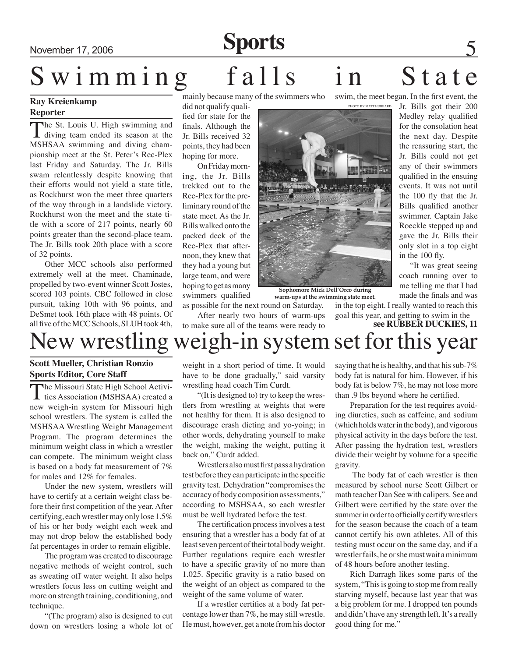## November 17, 2006 **Sports**

# Swimming falls in State

## **Ray Kreienkamp Reporter**

The St. Louis U. High swimming and diving team ended its season at the MSHSAA swimming and diving championship meet at the St. Peter's Rec-Plex last Friday and Saturday. The Jr. Bills swam relentlessly despite knowing that their efforts would not yield a state title, as Rockhurst won the meet three quarters of the way through in a landslide victory. Rockhurst won the meet and the state title with a score of 217 points, nearly 60 points greater than the second-place team. The Jr. Bills took 20th place with a score of 32 points.

Other MCC schools also performed extremely well at the meet. Chaminade, propelled by two-event winner Scott Jostes, scored 103 points. CBC followed in close pursuit, taking 10th with 96 points, and DeSmet took 16th place with 48 points. Of all five of the MCC Schools, SLUH took 4th,

mainly because many of the swimmers who

did not qualify qualified for state for the finals. Although the Jr. Bills received 32 points, they had been hoping for more.

On Friday morning, the Jr. Bills trekked out to the Rec-Plex for the preliminary round of the state meet. As the Jr. Bills walked onto the packed deck of the Rec-Plex that afternoon, they knew that they had a young but large team, and were hoping to get as many swimmers qualified

as possible for the next round on Saturday.

After nearly two hours of warm-ups to make sure all of the teams were ready to

**Sophomore Mick Dell'Orco during** 

**warm-ups at the swimming state meet.**

swim, the meet began. In the first event, the photo by matt hubbard

Jr. Bills got their 200 Medley relay qualified for the consolation heat the next day. Despite the reassuring start, the Jr. Bills could not get any of their swimmers qualified in the ensuing events. It was not until the 100 fly that the Jr. Bills qualified another swimmer. Captain Jake Roeckle stepped up and gave the Jr. Bills their only slot in a top eight in the 100 fly.

 "It was great seeing coach running over to me telling me that I had made the finals and was

in the top eight. I really wanted to reach this goal this year, and getting to swim in the

**see RUBBER DUCKIES, 11**

## New wrestling weigh-in system set for this year

## **Scott Mueller, Christian Ronzio Sports Editor, Core Staff**

The Missouri State High School Activi-ties Association (MSHSAA) created a new weigh-in system for Missouri high school wrestlers. The system is called the MSHSAA Wrestling Weight Management Program. The program determines the minimum weight class in which a wrestler can compete. The minimum weight class is based on a body fat measurement of 7% for males and 12% for females.

Under the new system, wrestlers will have to certify at a certain weight class before their first competition of the year. After certifying, each wrestler may only lose 1.5% of his or her body weight each week and may not drop below the established body fat percentages in order to remain eligible.

The program was created to discourage negative methods of weight control, such as sweating off water weight. It also helps wrestlers focus less on cutting weight and more on strength training, conditioning, and technique.

"(The program) also is designed to cut down on wrestlers losing a whole lot of

weight in a short period of time. It would have to be done gradually," said varsity wrestling head coach Tim Curdt.

"(It is designed to) try to keep the wrestlers from wrestling at weights that were not healthy for them. It is also designed to discourage crash dieting and yo-yoing; in other words, dehydrating yourself to make the weight, making the weight, putting it back on," Curdt added.

Wrestlers also must first pass a hydration test before they can participate in the specific gravity test. Dehydration "compromises the accuracy of body composition assessments," according to MSHSAA, so each wrestler must be well hydrated before the test.

The certification process involves a test ensuring that a wrestler has a body fat of at least seven percent of their total body weight. Further regulations require each wrestler to have a specific gravity of no more than 1.025. Specific gravity is a ratio based on the weight of an object as compared to the weight of the same volume of water.

If a wrestler certifies at a body fat percentage lower than 7%, he may still wrestle. He must, however, get a note from his doctor saying that he is healthy, and that his sub-7% body fat is natural for him. However, if his body fat is below 7%, he may not lose more than .9 lbs beyond where he certified.

Preparation for the test requires avoiding diuretics, such as caffeine, and sodium (which holds water in the body), and vigorous physical activity in the days before the test. After passing the hydration test, wrestlers divide their weight by volume for a specific gravity.

 The body fat of each wrestler is then measured by school nurse Scott Gilbert or math teacher Dan See with calipers. See and Gilbert were certified by the state over the summer in order to officially certify wrestlers for the season because the coach of a team cannot certify his own athletes. All of this testing must occur on the same day, and if a wrestler fails, he or she must wait a minimum of 48 hours before another testing.

Rich Darragh likes some parts of the system, "This is going to stop me from really starving myself, because last year that was a big problem for me. I dropped ten pounds and didn't have any strength left. It's a really good thing for me."

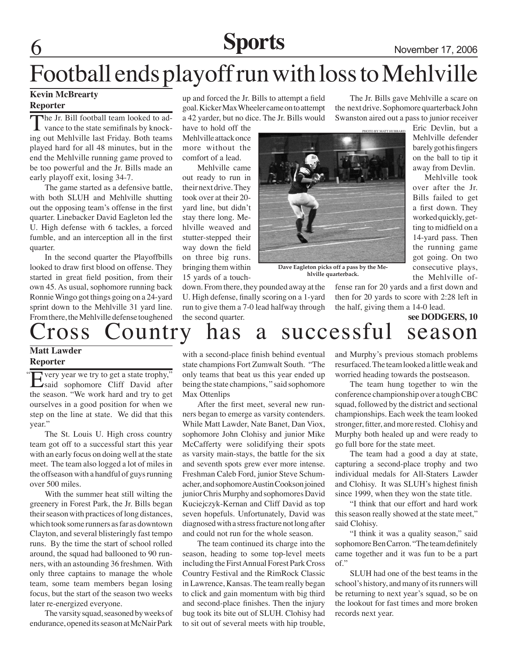## **Sports** November 17, 2006

The Jr. Bills gave Mehlville a scare on the next drive. Sophomore quarterback John Swanston aired out a pass to junior receiver

## Football ends playoff run with loss to Mehlville

## **Kevin McBrearty**

## **Reporter**

The Jr. Bill football team looked to advance to the state semifinals by knocking out Mehlville last Friday. Both teams played hard for all 48 minutes, but in the end the Mehlville running game proved to be too powerful and the Jr. Bills made an early playoff exit, losing 34-7.

The game started as a defensive battle, with both SLUH and Mehlville shutting out the opposing team's offense in the first quarter. Linebacker David Eagleton led the U. High defense with 6 tackles, a forced fumble, and an interception all in the first quarter.

In the second quarter the Playoffbills looked to draw first blood on offense. They started in great field position, from their own 45. As usual, sophomore running back Ronnie Wingo got things going on a 24-yard sprint down to the Mehlville 31 yard line. From there, the Mehlville defense toughened

up and forced the Jr. Bills to attempt a field goal. Kicker Max Wheeler came on to attempt a 42 yarder, but no dice. The Jr. Bills would

have to hold off the Mehlville attack once more without the comfort of a lead.

Mehlville came out ready to run in their next drive. They took over at their 20 yard line, but didn't stay there long. Mehlville weaved and stutter-stepped their way down the field on three big runs. bringing them within 15 yards of a touch-

down. From there, they pounded away at the U. High defense, finally scoring on a 1-yard run to give them a 7-0 lead halfway through the second quarter.



**Dave Eagleton picks off a pass by the Mehlville quarterback.**

fense ran for 20 yards and a first down and then for 20 yards to score with 2:28 left in the half, giving them a 14-0 lead.

**see DODGERS, 10**

the Mehlville of-

Mehlville took

## ross Country has a successful season

#### **Matt Lawder Reporter**

Every year we try to get a state trophy,"<br>
said sophomore Cliff David after the season. "We work hard and try to get ourselves in a good position for when we step on the line at state. We did that this year." "

The St. Louis U. High cross country team got off to a successful start this year with an early focus on doing well at the state meet. The team also logged a lot of miles in the offseason with a handful of guys running over 500 miles.

With the summer heat still wilting the greenery in Forest Park, the Jr. Bills began their season with practices of long distances, which took some runners as far as downtown Clayton, and several blisteringly fast tempo runs. By the time the start of school rolled around, the squad had ballooned to 90 runners, with an astounding 36 freshmen. With only three captains to manage the whole team, some team members began losing focus, but the start of the season two weeks later re-energized everyone.

The varsity squad, seasoned by weeks of endurance, opened its season at McNair Park

with a second-place finish behind eventual state champions Fort Zumwalt South. "The only teams that beat us this year ended up being the state champions, " said sophomore Max Ottenlips

After the first meet, several new runners began to emerge as varsity contenders. While Matt Lawder, Nate Banet, Dan Viox, sophomore John Clohisy and junior Mike McCafferty were solidifying their spots as varsity main-stays, the battle for the six and seventh spots grew ever more intense. Freshman Caleb Ford, junior Steve Schumacher, and sophomore Austin Cookson joined junior Chris Murphy and sophomores David Kuciejczyk-Kernan and Cliff David as top seven hopefuls. Unfortunately, David was diagnosed with a stress fracture not long after and could not run for the whole season.

The team continued its charge into the season, heading to some top-level meets including the First Annual Forest Park Cross Country Festival and the RimRock Classic in Lawrence, Kansas. The team really began to click and gain momentum with big third and second-place finishes. Then the injury bug took its bite out of SLUH. Clohisy had to sit out of several meets with hip trouble, and Murphy's previous stomach problems resurfaced. The team looked a little weak and worried heading towards the postseason.

The team hung together to win the conference championship over a tough CBC squad, followed by the district and sectional championships. Each week the team looked stronger, fitter, and more rested. Clohisy and Murphy both healed up and were ready to go full bore for the state meet.

The team had a good a day at state, capturing a second-place trophy and two individual medals for All-Staters Lawder and Clohisy. It was SLUH's highest finish since 1999, when they won the state title.

"I think that our effort and hard work this season really showed at the state meet," said Clohisy.

"I think it was a quality season," said sophomore Ben Carron. "The team definitely came together and it was fun to be a part of."

SLUH had one of the best teams in the school's history, and many of its runners will be returning to next year's squad, so be on the lookout for fast times and more broken records next year.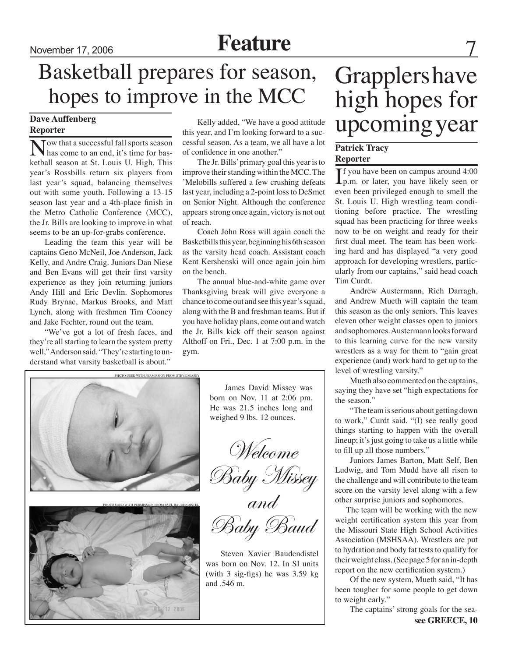## November 17, 2006 **Feature**

## Basketball prepares for season, hopes to improve in the MCC

## **Dave Auffenberg Reporter**

Tow that a successful fall sports season has come to an end, it's time for basketball season at St. Louis U. High. This year's Rossbills return six players from last year's squad, balancing themselves out with some youth. Following a 13-15 season last year and a 4th-place finish in the Metro Catholic Conference (MCC), the Jr. Bills are looking to improve in what seems to be an up-for-grabs conference.

Leading the team this year will be captains Geno McNeil, Joe Anderson, Jack Kelly, and Andre Craig. Juniors Dan Niese and Ben Evans will get their first varsity experience as they join returning juniors Andy Hill and Eric Devlin. Sophomores Rudy Brynac, Markus Brooks, and Matt Lynch, along with freshmen Tim Cooney and Jake Fechter, round out the team.

"We've got a lot of fresh faces, and they're all starting to learn the system pretty well," Anderson said. "They're starting to understand what varsity basketball is about."

Kelly added, "We have a good attitude this year, and I'm looking forward to a successful season. As a team, we all have a lot of confidence in one another."

The Jr. Bills' primary goal this year is to improve their standing within the MCC. The 'Melobills suffered a few crushing defeats last year, including a 2-point loss to DeSmet on Senior Night. Although the conference appears strong once again, victory is not out of reach.

Coach John Ross will again coach the Basketbills this year, beginning his 6th season as the varsity head coach. Assistant coach Kent Kershenski will once again join him on the bench.

The annual blue-and-white game over Thanksgiving break will give everyone a chance to come out and see this year's squad, along with the B and freshman teams. But if you have holiday plans, come out and watch the Jr. Bills kick off their season against Althoff on Fri., Dec. 1 at 7:00 p.m. in the gym.



James David Missey was born on Nov. 11 at 2:06 pm. He was 21.5 inches long and weighed 9 lbs. 12 ounces.

Welcome

Baby Missey

and

Baby Baud

Steven Xavier Baudendistel was born on Nov. 12. In SI units (with 3 sig-figs) he was 3.59 kg and .546 m.

## Grapplers have high hopes for upcoming year

## **Patrick Tracy Reporter**

If you have been on campus around 4:00<br>p.m. or later, you have likely seen or **T** f you have been on campus around 4:00 even been privileged enough to smell the St. Louis U. High wrestling team conditioning before practice. The wrestling squad has been practicing for three weeks now to be on weight and ready for their first dual meet. The team has been working hard and has displayed "a very good approach for developing wrestlers, particularly from our captains," said head coach Tim Curdt.

Andrew Austermann, Rich Darragh, and Andrew Mueth will captain the team this season as the only seniors. This leaves eleven other weight classes open to juniors and sophomores. Austermann looks forward to this learning curve for the new varsity wrestlers as a way for them to "gain great experience (and) work hard to get up to the level of wrestling varsity."

Mueth also commented on the captains, saying they have set "high expectations for the season."

"The team is serious about getting down to work," Curdt said. "(I) see really good things starting to happen with the overall lineup; it's just going to take us a little while to fill up all those numbers."

Juniors James Barton, Matt Self, Ben Ludwig, and Tom Mudd have all risen to the challenge and will contribute to the team score on the varsity level along with a few other surprise juniors and sophomores.

 The team will be working with the new weight certification system this year from the Missouri State High School Activities Association (MSHSAA). Wrestlers are put to hydration and body fat tests to qualify for their weight class. (See page 5 for an in-depth report on the new certification system.)

Of the new system, Mueth said, "It has been tougher for some people to get down to weight early."

The captains' strong goals for the sea**see GREECE, 10**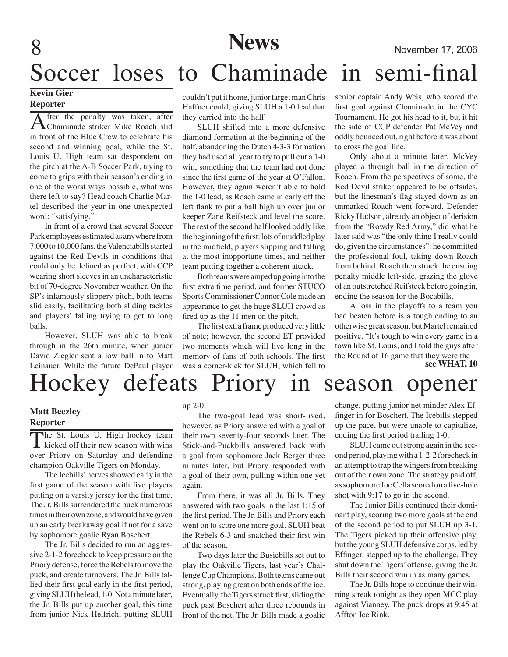**News** November 17, 2006

## Soccer loses to Chaminade in semi-final

## **Kevin Gier Reporter**

After the penalty was taken, after<br>Chaminade striker Mike Roach slid in front of the Blue Crew to celebrate his second and winning goal, while the St. Louis U. High team sat despondent on the pitch at the A-B Soccer Park, trying to come to grips with their season's ending in one of the worst ways possible, what was there left to say? Head coach Charlie Martel described the year in one unexpected word: "satisfying."

In front of a crowd that several Soccer Park employees estimated as anywhere from 7,000 to 10,000 fans, the Valenciabills started against the Red Devils in conditions that could only be defined as perfect, with CCP wearing short sleeves in an uncharacteristic bit of 70-degree November weather. On the SP's infamously slippery pitch, both teams slid easily, facilitating both sliding tackles and players' falling trying to get to long balls.

However, SLUH was able to break through in the 26th minute, when junior David Ziegler sent a low ball in to Matt Leinauer. While the future DePaul player couldn't put it home, junior target man Chris Haffner could, giving SLUH a 1-0 lead that they carried into the half.

SLUH shifted into a more defensive diamond formation at the beginning of the half, abandoning the Dutch 4-3-3 formation they had used all year to try to pull out a 1-0 win, something that the team had not done since the first game of the year at O'Fallon. However, they again weren't able to hold the 1-0 lead, as Roach came in early off the left flank to put a ball high up over junior keeper Zane Reifsteck and level the score. The rest of the second half looked oddly like the beginning of the first: lots of muddled play in the midfield, players slipping and falling at the most inopportune times, and neither team putting together a coherent attack.

Both teams were amped up going into the first extra time period, and former STUCO Sports Commissioner Connor Cole made an appearance to get the huge SLUH crowd as fired up as the 11 men on the pitch.

The first extra frame produced very little of note; however, the second ET provided two moments which will live long in the memory of fans of both schools. The first was a corner-kick for SLUH, which fell to senior captain Andy Weis, who scored the first goal against Chaminade in the CYC Tournament. He got his head to it, but it hit the side of CCP defender Pat McVey and oddly bounced out, right before it was about to cross the goal line.

Only about a minute later, McVey played a through ball in the direction of Roach. From the perspectives of some, the Red Devil striker appeared to be offsides, but the linesman's flag stayed down as an unmarked Roach went forward. Defender Ricky Hudson, already an object of derision from the "Rowdy Red Army," did what he later said was "the only thing I really could do, given the circumstances": he committed the professional foul, taking down Roach from behind. Roach then struck the ensuing penalty middle left-side, grazing the glove of an outstretched Reifsteck before going in, ending the season for the Bocabills.

A loss in the playoffs to a team you had beaten before is a tough ending to an otherwise great season, but Martel remained positive. "It's tough to win every game in a town like St. Louis, and I told the guys after the Round of 16 game that they were the

**see WHAT, 10**

## Hockey defeats Priory in season opener

## **Matt Beezley**

## **Reporter**

The St. Louis U. High hockey team  $\mathsf{L}\nvert$  kicked off their new season with wins over Priory on Saturday and defending champion Oakville Tigers on Monday.

The Icebills' nerves showed early in the first game of the season with five players putting on a varsity jersey for the first time. The Jr. Bills surrendered the puck numerous times in their own zone, and would have given up an early breakaway goal if not for a save by sophomore goalie Ryan Boschert.

The Jr. Bills decided to run an aggressive 2-1-2 forecheck to keep pressure on the Priory defense, force the Rebels to move the puck, and create turnovers. The Jr. Bills tallied their first goal early in the first period, giving SLUH the lead, 1-0. Not a minute later, the Jr. Bills put up another goal, this time from junior Nick Helfrich, putting SLUH

#### up 2-0.

The two-goal lead was short-lived, however, as Priory answered with a goal of their own seventy-four seconds later. The Stick-and-Puckbills answered back with a goal from sophomore Jack Berger three minutes later, but Priory responded with a goal of their own, pulling within one yet again.

From there, it was all Jr. Bills. They answered with two goals in the last 1:15 of the first period. The Jr. Bills and Priory each went on to score one more goal. SLUH beat the Rebels 6-3 and snatched their first win of the season.

Two days later the Busiebills set out to play the Oakville Tigers, last year's Challenge Cup Champions. Both teams came out strong, playing great on both ends of the ice. Eventually, the Tigers struck first, sliding the puck past Boschert after three rebounds in front of the net. The Jr. Bills made a goalie

change, putting junior net minder Alex Effinger in for Boschert. The Icebills stepped up the pace, but were unable to capitalize, ending the first period trailing 1-0.

SLUH came out strong again in the second period, playing with a 1-2-2 forecheck in an attempt to trap the wingers from breaking out of their own zone. The strategy paid off, as sophomore Joe Cella scored on a five-hole shot with 9:17 to go in the second.

The Junior Bills continued their dominant play, scoring two more goals at the end of the second period to put SLUH up 3-1. The Tigers picked up their offensive play, but the young SLUH defensive corps, led by Effinger, stepped up to the challenge. They shut down the Tigers' offense, giving the Jr. Bills their second win in as many games.

The Jr. Bills hope to continue their winning streak tonight as they open MCC play against Vianney. The puck drops at 9:45 at Affton Ice Rink.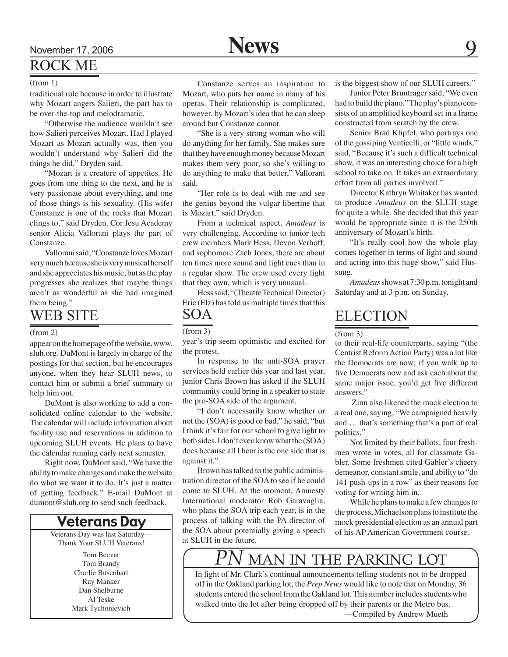## ROCK ME

#### (from 1)

traditional role because in order to illustrate why Mozart angers Salieri, the part has to be over-the-top and melodramatic.

"Otherwise the audience wouldn't see how Salieri perceives Mozart. Had I played Mozart as Mozart actually was, then you wouldn't understand why Salieri did the things he did," Dryden said.

"Mozart is a creature of appetites. He goes from one thing to the next, and he is very passionate about everything, and one of those things is his sexuality. (His wife) Constanze is one of the rocks that Mozart clings to," said Dryden. Cor Jesu Academy senior Alicia Vallorani plays the part of Constanze.

Vallorani said, "Constanze loves Mozart very much because she is very musical herself and she appreciates his music, but as the play progresses she realizes that maybe things aren't as wonderful as she had imagined them being."

## WEB SITE

#### (from 2)

appear on the homepage of the website, www. sluh.org. DuMont is largely in charge of the postings for that section, but he encourages anyone, when they hear SLUH news, to contact him or submit a brief summary to help him out.

DuMont is also working to add a consolidated online calendar to the website. The calendar will include information about facility use and reservations in addition to upcoming SLUH events. He plans to have the calendar running early next semester.

Right now, DuMont said, "We have the ability to make changes and make the website do what we want it to do. It's just a matter of getting feedback." E-mail DuMont at dumont@sluh.org to send such feedback.

## Veterans Day

Veterans Day was last Saturday— Thank Your SLUH Veterans!

> Tom Becvar Tom Brandy Charlie Busenhart Ray Manker Dan Shelburne Al Teske Mark Tychonievich

Constanze serves an inspiration to Mozart, who puts her name in many of his operas. Their relationship is complicated, however, by Mozart's idea that he can sleep around but Constanze cannot.

"She is a very strong woman who will do anything for her family. She makes sure that they have enough money because Mozart makes them very poor, so she's willing to do anything to make that better," Vallorani said.

"Her role is to deal with me and see the genius beyond the vulgar libertine that is Mozart," said Dryden.

From a technical aspect, *Amadeus* is very challenging. According to junior tech crew members Mark Hess, Devon Verhoff, and sophomore Zach Jones, there are about ten times more sound and light cues than in a regular show. The crew used every light that they own, which is very unusual.

Hess said, "(Theatre Technical Director) Eric (Elz) has told us multiple times that this

## SOA

### (from 3)

year's trip seem optimistic and excited for the protest.

In response to the anti-SOA prayer services held earlier this year and last year, junior Chris Brown has asked if the SLUH community could bring in a speaker to state the pro-SOA side of the argument.

"I don't necessarily know whether or not the (SOA) is good or bad," he said, "but I think it's fair for our school to give light to both sides. I don't even know what the (SOA) does because all I hear is the one side that is against it."

Brown has talked to the public administration director of the SOA to see if he could come to SLUH. At the moment, Amnesty International moderator Rob Garavaglia, who plans the SOA trip each year, is in the process of talking with the PA director of the SOA about potentially giving a speech at SLUH in the future.

### is the biggest show of our SLUH careers."

Junior Peter Bruntrager said, "We even had to build the piano." The play's piano consists of an amplified keyboard set in a frame constructed from scratch by the crew.

Senior Brad Klipfel, who portrays one of the gossiping Venticelli, or "little winds," said, "Because it's such a difficult technical show, it was an interesting choice for a high school to take on. It takes an extraordinary effort from all parties involved."

Director Kathryn Whitaker has wanted to produce *Amadeus* on the SLUH stage for quite a while. She decided that this year would be appropriate since it is the 250th anniversary of Mozart's birth.

"It's really cool how the whole play comes together in terms of light and sound and acting into this huge show," said Hussung.

 *Amadeus* shows at 7:30 p.m. tonight and Saturday and at 3 p.m. on Sunday.

## **ELECTION**

#### (from 3)

to their real-life counterparts, saying "(the Centrist Reform Action Party) was a lot like the Democrats are now; if you walk up to five Democrats now and ask each about the same major issue, you'd get five different answers."

 Zinn also likened the mock election to a real one, saying, "We campaigned heavily and … that's something that's a part of real politics."

Not limited by their ballots, four freshmen wrote in votes, all for classmate Gabler. Some freshmen cited Gabler's cheery demeanor, constant smile, and ability to "do 141 push-ups in a row" as their reasons for voting for writing him in.

While he plans to make a few changes to the process, Michaelson plans to institute the mock presidential election as an annual part of his AP American Government course.

## **MAN IN THE PARKING LOT**

In light of Mr. Clark's continual announcements telling students not to be dropped off in the Oakland parking lot, the *Prep News* would like to note that on Monday, 36 students entered the school from the Oakland lot. This number includes students who walked onto the lot after being dropped off by their parents or the Metro bus. —Compiled by Andrew Mueth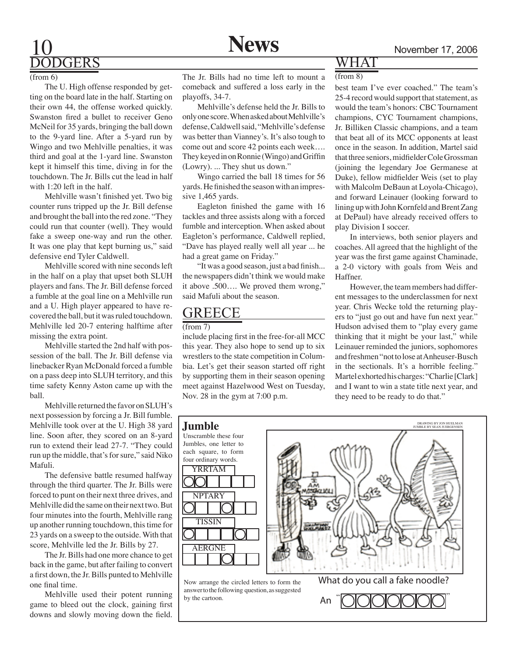## GERS

#### (from 6)

The U. High offense responded by getting on the board late in the half. Starting on their own 44, the offense worked quickly. Swanston fired a bullet to receiver Geno McNeil for 35 yards, bringing the ball down to the 9-yard line. After a 5-yard run by Wingo and two Mehlville penalties, it was third and goal at the 1-yard line. Swanston kept it himself this time, diving in for the touchdown. The Jr. Bills cut the lead in half with 1:20 left in the half.

Mehlville wasn't finished yet. Two big counter runs tripped up the Jr. Bill defense and brought the ball into the red zone. "They could run that counter (well). They would fake a sweep one-way and run the other. It was one play that kept burning us," said defensive end Tyler Caldwell.

Mehlville scored with nine seconds left in the half on a play that upset both SLUH players and fans. The Jr. Bill defense forced a fumble at the goal line on a Mehlville run and a U. High player appeared to have recovered the ball, but it was ruled touchdown. Mehlville led 20-7 entering halftime after missing the extra point.

Mehlville started the 2nd half with possession of the ball. The Jr. Bill defense via linebacker Ryan McDonald forced a fumble on a pass deep into SLUH territory, and this time safety Kenny Aston came up with the ball.

Mehlville returned the favor on SLUH's next possession by forcing a Jr. Bill fumble. Mehlville took over at the U. High 38 yard line. Soon after, they scored on an 8-yard run to extend their lead 27-7. "They could run up the middle, that's for sure," said Niko Mafuli.

The defensive battle resumed halfway through the third quarter. The Jr. Bills were forced to punt on their next three drives, and Mehlville did the same on their next two. But four minutes into the fourth, Mehlville rang up another running touchdown, this time for 23 yards on a sweep to the outside. With that score, Mehlville led the Jr. Bills by 27.

The Jr. Bills had one more chance to get back in the game, but after failing to convert a first down, the Jr. Bills punted to Mehlville one final time.

Mehlville used their potent running game to bleed out the clock, gaining first downs and slowly moving down the field.

The Jr. Bills had no time left to mount a comeback and suffered a loss early in the playoffs, 34-7.

Mehlville's defense held the Jr. Bills to only one score. When asked about Mehlville's defense, Caldwell said, "Mehlville's defense was better than Vianney's. It's also tough to come out and score 42 points each week…. They keyed in on Ronnie (Wingo) and Griffin (Lowry). ... They shut us down."

Wingo carried the ball 18 times for 56 yards. He finished the season with an impressive 1,465 yards.

Eagleton finished the game with 16 tackles and three assists along with a forced fumble and interception. When asked about Eagleton's performance, Caldwell replied, "Dave has played really well all year ... he had a great game on Friday."

"It was a good season, just a bad finish... the newspapers didn't think we would make it above .500…. We proved them wrong," said Mafuli about the season.

## GREECE

#### (from 7)

include placing first in the free-for-all MCC this year. They also hope to send up to six wrestlers to the state competition in Columbia. Let's get their season started off right by supporting them in their season opening meet against Hazelwood West on Tuesday, Nov. 28 in the gym at 7:00 p.m.

## WHA

### (from 8)

best team I've ever coached." The team's 25-4 record would support that statement, as would the team's honors: CBC Tournament champions, CYC Tournament champions, Jr. Billiken Classic champions, and a team that beat all of its MCC opponents at least once in the season. In addition, Martel said that three seniors, midfielder Cole Grossman (joining the legendary Joe Germanese at Duke), fellow midfielder Weis (set to play with Malcolm DeBaun at Loyola-Chicago), and forward Leinauer (looking forward to lining up with John Kornfeld and Brent Zang at DePaul) have already received offers to play Division I soccer.

In interviews, both senior players and coaches. All agreed that the highlight of the year was the first game against Chaminade, a 2-0 victory with goals from Weis and Haffner.

However, the team members had different messages to the underclassmen for next year. Chris Wecke told the returning players to "just go out and have fun next year." Hudson advised them to "play every game thinking that it might be your last," while Leinauer reminded the juniors, sophomores and freshmen "not to lose at Anheuser-Busch in the sectionals. It's a horrible feeling." Martel exhorted his charges: "Charlie [Clark] and I want to win a state title next year, and they need to be ready to do that."

An "**OOOOOO**OO

## **Jumble**



answer to the following question, as suggested by the cartoon.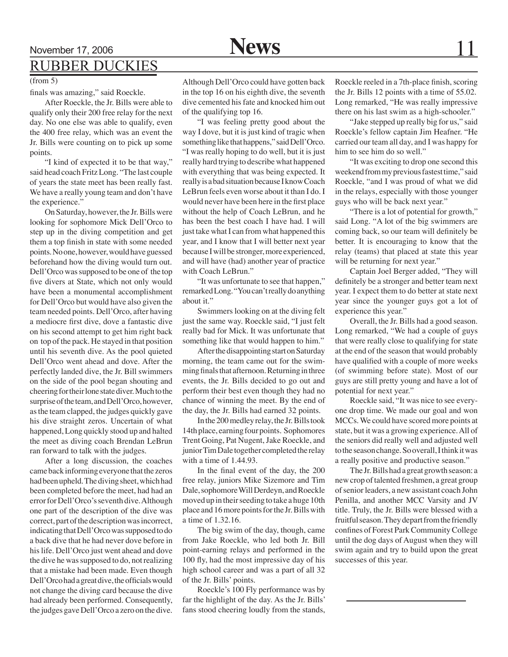## November 17, 2006 **News** 11 **RUBBER DUCKIES**

### (from 5)

finals was amazing," said Roeckle.

After Roeckle, the Jr. Bills were able to qualify only their 200 free relay for the next day. No one else was able to qualify, even the 400 free relay, which was an event the Jr. Bills were counting on to pick up some points.

"I kind of expected it to be that way," said head coach Fritz Long. "The last couple of years the state meet has been really fast. We have a really young team and don't have the experience."

On Saturday, however, the Jr. Bills were looking for sophomore Mick Dell'Orco to step up in the diving competition and get them a top finish in state with some needed points. No one, however, would have guessed beforehand how the diving would turn out. Dell'Orco was supposed to be one of the top five divers at State, which not only would have been a monumental accomplishment for Dell'Orco but would have also given the team needed points. Dell'Orco, after having a mediocre first dive, dove a fantastic dive on his second attempt to get him right back on top of the pack. He stayed in that position until his seventh dive. As the pool quieted Dell'Orco went ahead and dove. After the perfectly landed dive, the Jr. Bill swimmers on the side of the pool began shouting and cheering for their lone state diver. Much to the surprise of the team, and Dell'Orco, however, as the team clapped, the judges quickly gave his dive straight zeros. Uncertain of what happened, Long quickly stood up and halted the meet as diving coach Brendan LeBrun ran forward to talk with the judges.

After a long discussion, the coaches came back informing everyone that the zeros had been upheld. The diving sheet, which had been completed before the meet, had had an error for Dell'Orco's seventh dive. Although one part of the description of the dive was correct, part of the description was incorrect, indicating that Dell'Orco was supposed to do a back dive that he had never dove before in his life. Dell'Orco just went ahead and dove the dive he was supposed to do, not realizing that a mistake had been made. Even though Dell'Orco had a great dive, the officials would not change the diving card because the dive had already been performed. Consequently, the judges gave Dell'Orco a zero on the dive.

Although Dell'Orco could have gotten back in the top 16 on his eighth dive, the seventh dive cemented his fate and knocked him out of the qualifying top 16.

"I was feeling pretty good about the way I dove, but it is just kind of tragic when something like that happens," said Dell'Orco. "I was really hoping to do well, but it is just really hard trying to describe what happened with everything that was being expected. It really is a bad situation because I know Coach LeBrun feels even worse about it than I do. I would never have been here in the first place without the help of Coach LeBrun, and he has been the best coach I have had. I will just take what I can from what happened this year, and I know that I will better next year because I will be stronger, more experienced, and will have (had) another year of practice with Coach LeBrun."

"It was unfortunate to see that happen," remarked Long. "You can't really do anything about it."

Swimmers looking on at the diving felt just the same way. Roeckle said, "I just felt really bad for Mick. It was unfortunate that something like that would happen to him."

After the disappointing start on Saturday morning, the team came out for the swimming finals that afternoon. Returning in three events, the Jr. Bills decided to go out and perform their best even though they had no chance of winning the meet. By the end of the day, the Jr. Bills had earned 32 points.

In the 200 medley relay, the Jr. Bills took 14th place, earning four points. Sophomores Trent Going, Pat Nugent, Jake Roeckle, and junior Tim Dale together completed the relay with a time of 1.44.93.

In the final event of the day, the 200 free relay, juniors Mike Sizemore and Tim Dale, sophomore Will Derdeyn, and Roeckle moved up in their seeding to take a huge 10th place and 16 more points for the Jr. Bills with a time of 1.32.16.

The big swim of the day, though, came from Jake Roeckle, who led both Jr. Bill point-earning relays and performed in the 100 fly, had the most impressive day of his high school career and was a part of all 32 of the Jr. Bills' points.

Roeckle's 100 Fly performance was by far the highlight of the day. As the Jr. Bills' fans stood cheering loudly from the stands,

Roeckle reeled in a 7th-place finish, scoring the Jr. Bills 12 points with a time of 55.02. Long remarked, "He was really impressive there on his last swim as a high-schooler."

"Jake stepped up really big for us," said Roeckle's fellow captain Jim Heafner. "He carried our team all day, and I was happy for him to see him do so well."

"It was exciting to drop one second this weekend from my previous fastest time," said Roeckle, "and I was proud of what we did in the relays, especially with those younger guys who will be back next year."

"There is a lot of potential for growth," said Long. "A lot of the big swimmers are coming back, so our team will definitely be better. It is encouraging to know that the relay (teams) that placed at state this year will be returning for next year."

Captain Joel Berger added, "They will definitely be a stronger and better team next year. I expect them to do better at state next year since the younger guys got a lot of experience this year."

Overall, the Jr. Bills had a good season. Long remarked, "We had a couple of guys that were really close to qualifying for state at the end of the season that would probably have qualified with a couple of more weeks (of swimming before state). Most of our guys are still pretty young and have a lot of potential for next year."

Roeckle said, "It was nice to see everyone drop time. We made our goal and won MCCs. We could have scored more points at state, but it was a growing experience. All of the seniors did really well and adjusted well to the season change. So overall, I think it was a really positive and productive season."

The Jr. Bills had a great growth season: a new crop of talented freshmen, a great group of senior leaders, a new assistant coach John Penilla, and another MCC Varsity and JV title. Truly, the Jr. Bills were blessed with a fruitful season. They depart from the friendly confines of Forest Park Community College until the dog days of August when they will swim again and try to build upon the great successes of this year.